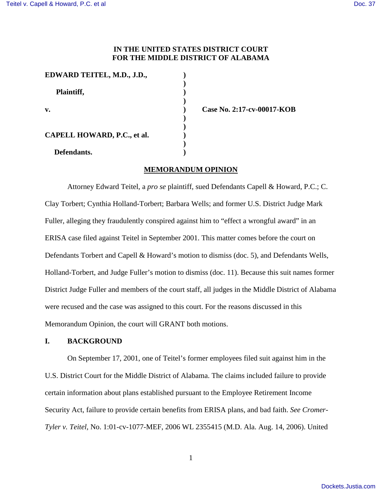## **IN THE UNITED STATES DISTRICT COURT FOR THE MIDDLE DISTRICT OF ALABAMA**

| EDWARD TEITEL, M.D., J.D.,  |                |
|-----------------------------|----------------|
|                             |                |
| Plaintiff,                  |                |
|                             |                |
| v.                          | Case No. 2:17- |
|                             |                |
|                             |                |
| CAPELL HOWARD, P.C., et al. |                |
|                             |                |
| Defendants.                 |                |

**v. ) Case No. 2:17-cv-00017-KOB**

# **MEMORANDUM OPINION**

Attorney Edward Teitel, a *pro se* plaintiff, sued Defendants Capell & Howard, P.C.; C. Clay Torbert; Cynthia Holland-Torbert; Barbara Wells; and former U.S. District Judge Mark Fuller, alleging they fraudulently conspired against him to "effect a wrongful award" in an ERISA case filed against Teitel in September 2001. This matter comes before the court on Defendants Torbert and Capell & Howard's motion to dismiss (doc. 5), and Defendants Wells, Holland-Torbert, and Judge Fuller's motion to dismiss (doc. 11). Because this suit names former District Judge Fuller and members of the court staff, all judges in the Middle District of Alabama were recused and the case was assigned to this court. For the reasons discussed in this Memorandum Opinion, the court will GRANT both motions.

## **I. BACKGROUND**

On September 17, 2001, one of Teitel's former employees filed suit against him in the U.S. District Court for the Middle District of Alabama. The claims included failure to provide certain information about plans established pursuant to the Employee Retirement Income Security Act, failure to provide certain benefits from ERISA plans, and bad faith. *See Cromer-Tyler v. Teitel,* No. 1:01-cv-1077-MEF, 2006 WL 2355415 (M.D. Ala. Aug. 14, 2006). United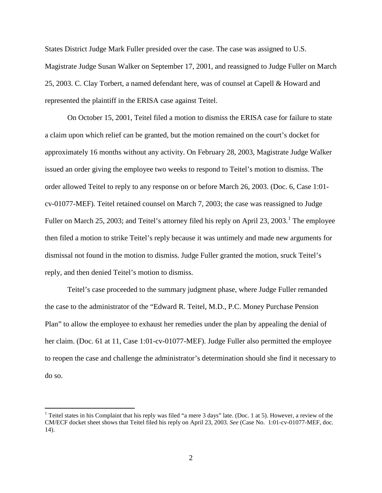States District Judge Mark Fuller presided over the case. The case was assigned to U.S. Magistrate Judge Susan Walker on September 17, 2001, and reassigned to Judge Fuller on March 25, 2003. C. Clay Torbert, a named defendant here, was of counsel at Capell & Howard and represented the plaintiff in the ERISA case against Teitel.

On October 15, 2001, Teitel filed a motion to dismiss the ERISA case for failure to state a claim upon which relief can be granted, but the motion remained on the court's docket for approximately 16 months without any activity. On February 28, 2003, Magistrate Judge Walker issued an order giving the employee two weeks to respond to Teitel's motion to dismiss. The order allowed Teitel to reply to any response on or before March 26, 2003. (Doc. 6, Case 1:01 cv-01077-MEF). Teitel retained counsel on March 7, 2003; the case was reassigned to Judge Fuller on March 25, 2003; and Teitel's attorney filed his reply on April 23, 2003.<sup>[1](#page-1-0)</sup> The employee then filed a motion to strike Teitel's reply because it was untimely and made new arguments for dismissal not found in the motion to dismiss. Judge Fuller granted the motion, sruck Teitel's reply, and then denied Teitel's motion to dismiss.

Teitel's case proceeded to the summary judgment phase, where Judge Fuller remanded the case to the administrator of the "Edward R. Teitel, M.D., P.C. Money Purchase Pension Plan" to allow the employee to exhaust her remedies under the plan by appealing the denial of her claim. (Doc. 61 at 11, Case 1:01-cv-01077-MEF). Judge Fuller also permitted the employee to reopen the case and challenge the administrator's determination should she find it necessary to do so.

 $\overline{a}$ 

<span id="page-1-0"></span><sup>&</sup>lt;sup>1</sup> Teitel states in his Complaint that his reply was filed "a mere 3 days" late. (Doc. 1 at 5). However, a review of the CM/ECF docket sheet shows that Teitel filed his reply on April 23, 2003. *See* (Case No. 1:01-cv-01077-MEF, doc. 14).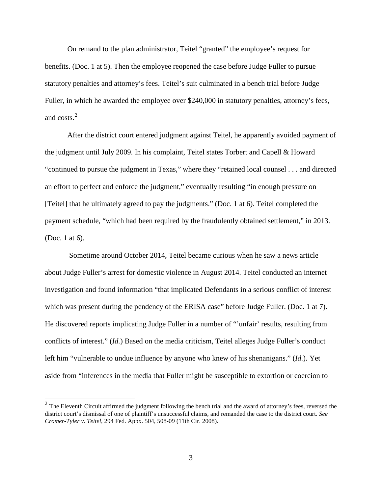On remand to the plan administrator, Teitel "granted" the employee's request for benefits. (Doc. 1 at 5). Then the employee reopened the case before Judge Fuller to pursue statutory penalties and attorney's fees. Teitel's suit culminated in a bench trial before Judge Fuller, in which he awarded the employee over \$240,000 in statutory penalties, attorney's fees, and  $\cos(s)^2$  $\cos(s)^2$ 

After the district court entered judgment against Teitel, he apparently avoided payment of the judgment until July 2009. In his complaint, Teitel states Torbert and Capell & Howard "continued to pursue the judgment in Texas," where they "retained local counsel . . . and directed an effort to perfect and enforce the judgment," eventually resulting "in enough pressure on [Teitel] that he ultimately agreed to pay the judgments." (Doc. 1 at 6). Teitel completed the payment schedule, "which had been required by the fraudulently obtained settlement," in 2013. (Doc. 1 at 6).

 Sometime around October 2014, Teitel became curious when he saw a news article about Judge Fuller's arrest for domestic violence in August 2014. Teitel conducted an internet investigation and found information "that implicated Defendants in a serious conflict of interest which was present during the pendency of the ERISA case" before Judge Fuller. (Doc. 1 at 7). He discovered reports implicating Judge Fuller in a number of "'unfair' results, resulting from conflicts of interest." (*Id.*) Based on the media criticism, Teitel alleges Judge Fuller's conduct left him "vulnerable to undue influence by anyone who knew of his shenanigans." (*Id.*). Yet aside from "inferences in the media that Fuller might be susceptible to extortion or coercion to

 $\overline{a}$ 

<span id="page-2-0"></span> $2^2$  The Eleventh Circuit affirmed the judgment following the bench trial and the award of attorney's fees, reversed the district court's dismissal of one of plaintiff's unsuccessful claims, and remanded the case to the district court. *See Cromer-Tyler v. Teitel*, 294 Fed. Appx. 504, 508-09 (11th Cir. 2008).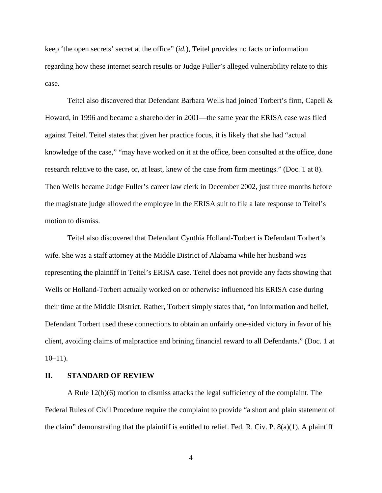keep 'the open secrets' secret at the office" (*id.*), Teitel provides no facts or information regarding how these internet search results or Judge Fuller's alleged vulnerability relate to this case.

Teitel also discovered that Defendant Barbara Wells had joined Torbert's firm, Capell  $\&$ Howard, in 1996 and became a shareholder in 2001—the same year the ERISA case was filed against Teitel. Teitel states that given her practice focus, it is likely that she had "actual knowledge of the case," "may have worked on it at the office, been consulted at the office, done research relative to the case, or, at least, knew of the case from firm meetings." (Doc. 1 at 8). Then Wells became Judge Fuller's career law clerk in December 2002, just three months before the magistrate judge allowed the employee in the ERISA suit to file a late response to Teitel's motion to dismiss.

Teitel also discovered that Defendant Cynthia Holland-Torbert is Defendant Torbert's wife. She was a staff attorney at the Middle District of Alabama while her husband was representing the plaintiff in Teitel's ERISA case. Teitel does not provide any facts showing that Wells or Holland-Torbert actually worked on or otherwise influenced his ERISA case during their time at the Middle District. Rather, Torbert simply states that, "on information and belief, Defendant Torbert used these connections to obtain an unfairly one-sided victory in favor of his client, avoiding claims of malpractice and brining financial reward to all Defendants." (Doc. 1 at  $10-11$ ).

## **II. STANDARD OF REVIEW**

A Rule 12(b)(6) motion to dismiss attacks the legal sufficiency of the complaint. The Federal Rules of Civil Procedure require the complaint to provide "a short and plain statement of the claim" demonstrating that the plaintiff is entitled to relief. Fed. R. Civ. P.  $8(a)(1)$ . A plaintiff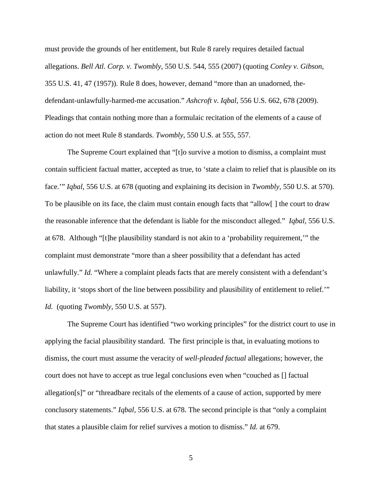must provide the grounds of her entitlement, but Rule 8 rarely requires detailed factual allegations. *Bell Atl. Corp. v. Twombly*, 550 U.S. 544, 555 (2007) (quoting *Conley v. Gibson*, 355 U.S. 41, 47 (1957)). Rule 8 does, however, demand "more than an unadorned, thedefendant-unlawfully-harmed-me accusation." *Ashcroft v. Iqbal*, 556 U.S. 662, 678 (2009). Pleadings that contain nothing more than a formulaic recitation of the elements of a cause of action do not meet Rule 8 standards. *Twombly*, 550 U.S. at 555, 557.

The Supreme Court explained that "[t]o survive a motion to dismiss, a complaint must contain sufficient factual matter, accepted as true, to 'state a claim to relief that is plausible on its face.'" *Iqbal*, 556 U.S. at 678 (quoting and explaining its decision in *Twombly*, 550 U.S. at 570). To be plausible on its face, the claim must contain enough facts that "allow[ ] the court to draw the reasonable inference that the defendant is liable for the misconduct alleged." *Iqbal*, 556 U.S. at 678. Although "[t]he plausibility standard is not akin to a 'probability requirement,'" the complaint must demonstrate "more than a sheer possibility that a defendant has acted unlawfully." *Id.* "Where a complaint pleads facts that are merely consistent with a defendant's liability, it 'stops short of the line between possibility and plausibility of entitlement to relief.'" *Id.* (quoting *Twombly*, 550 U.S. at 557).

The Supreme Court has identified "two working principles" for the district court to use in applying the facial plausibility standard. The first principle is that, in evaluating motions to dismiss, the court must assume the veracity of *well-pleaded factual* allegations; however, the court does not have to accept as true legal conclusions even when "couched as [] factual allegation[s]" or "threadbare recitals of the elements of a cause of action, supported by mere conclusory statements." *Iqbal,* 556 U.S. at 678. The second principle is that "only a complaint that states a plausible claim for relief survives a motion to dismiss." *Id.* at 679.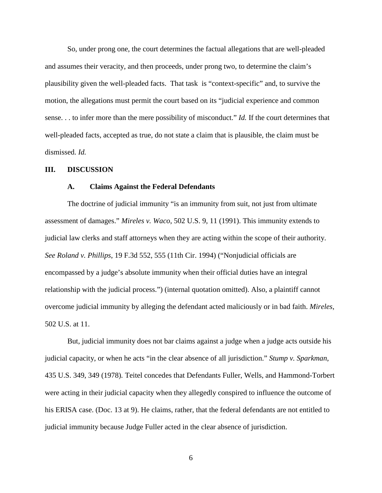So, under prong one, the court determines the factual allegations that are well-pleaded and assumes their veracity, and then proceeds, under prong two, to determine the claim's plausibility given the well-pleaded facts. That task is "context-specific" and, to survive the motion, the allegations must permit the court based on its "judicial experience and common sense. . . to infer more than the mere possibility of misconduct." *Id.* If the court determines that well-pleaded facts, accepted as true, do not state a claim that is plausible, the claim must be dismissed. *Id.*

### **III. DISCUSSION**

### **A. Claims Against the Federal Defendants**

The doctrine of judicial immunity "is an immunity from suit, not just from ultimate assessment of damages." *Mireles v. Waco*, 502 U.S. 9, 11 (1991). This immunity extends to judicial law clerks and staff attorneys when they are acting within the scope of their authority. *See Roland v. Phillips*, 19 F.3d 552, 555 (11th Cir. 1994) ("Nonjudicial officials are encompassed by a judge's absolute immunity when their official duties have an integral relationship with the judicial process.") (internal quotation omitted). Also, a plaintiff cannot overcome judicial immunity by alleging the defendant acted maliciously or in bad faith. *Mireles*, 502 U.S. at 11.

But, judicial immunity does not bar claims against a judge when a judge acts outside his judicial capacity, or when he acts "in the clear absence of all jurisdiction." *Stump v. Sparkman*, 435 U.S. 349, 349 (1978)*.* Teitel concedes that Defendants Fuller, Wells, and Hammond-Torbert were acting in their judicial capacity when they allegedly conspired to influence the outcome of his ERISA case. (Doc. 13 at 9). He claims, rather, that the federal defendants are not entitled to judicial immunity because Judge Fuller acted in the clear absence of jurisdiction.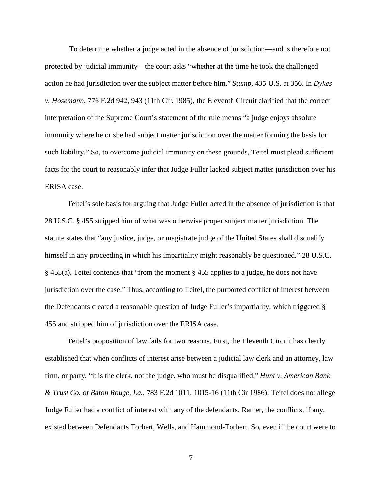To determine whether a judge acted in the absence of jurisdiction—and is therefore not protected by judicial immunity—the court asks "whether at the time he took the challenged action he had jurisdiction over the subject matter before him." *Stump*, 435 U.S. at 356. In *Dykes v. Hosemann*, 776 F.2d 942, 943 (11th Cir. 1985), the Eleventh Circuit clarified that the correct interpretation of the Supreme Court's statement of the rule means "a judge enjoys absolute immunity where he or she had subject matter jurisdiction over the matter forming the basis for such liability." So, to overcome judicial immunity on these grounds, Teitel must plead sufficient facts for the court to reasonably infer that Judge Fuller lacked subject matter jurisdiction over his ERISA case.

Teitel's sole basis for arguing that Judge Fuller acted in the absence of jurisdiction is that 28 U.S.C. § 455 stripped him of what was otherwise proper subject matter jurisdiction. The statute states that "any justice, judge, or magistrate judge of the United States shall disqualify himself in any proceeding in which his impartiality might reasonably be questioned." 28 U.S.C. § 455(a). Teitel contends that "from the moment § 455 applies to a judge, he does not have jurisdiction over the case." Thus, according to Teitel, the purported conflict of interest between the Defendants created a reasonable question of Judge Fuller's impartiality, which triggered § 455 and stripped him of jurisdiction over the ERISA case.

Teitel's proposition of law fails for two reasons. First, the Eleventh Circuit has clearly established that when conflicts of interest arise between a judicial law clerk and an attorney, law firm, or party, "it is the clerk, not the judge, who must be disqualified." *Hunt v. American Bank & Trust Co. of Baton Rouge, La.*, 783 F.2d 1011, 1015-16 (11th Cir 1986). Teitel does not allege Judge Fuller had a conflict of interest with any of the defendants. Rather, the conflicts, if any, existed between Defendants Torbert, Wells, and Hammond-Torbert. So, even if the court were to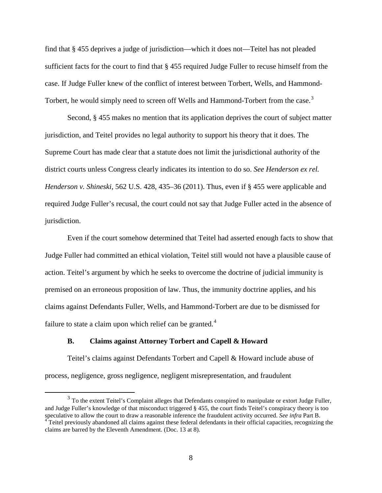find that § 455 deprives a judge of jurisdiction—which it does not—Teitel has not pleaded sufficient facts for the court to find that § 455 required Judge Fuller to recuse himself from the case. If Judge Fuller knew of the conflict of interest between Torbert, Wells, and Hammond-Torbert, he would simply need to screen off Wells and Hammond-Torbert from the case.<sup>[3](#page-7-0)</sup>

Second, § 455 makes no mention that its application deprives the court of subject matter jurisdiction, and Teitel provides no legal authority to support his theory that it does. The Supreme Court has made clear that a statute does not limit the jurisdictional authority of the district courts unless Congress clearly indicates its intention to do so. *See Henderson ex rel. Henderson v. Shineski*, 562 U.S. 428, 435–36 (2011). Thus, even if § 455 were applicable and required Judge Fuller's recusal, the court could not say that Judge Fuller acted in the absence of jurisdiction.

Even if the court somehow determined that Teitel had asserted enough facts to show that Judge Fuller had committed an ethical violation, Teitel still would not have a plausible cause of action. Teitel's argument by which he seeks to overcome the doctrine of judicial immunity is premised on an erroneous proposition of law. Thus, the immunity doctrine applies, and his claims against Defendants Fuller, Wells, and Hammond-Torbert are due to be dismissed for failure to state a claim upon which relief can be granted. $4$ 

## **B. Claims against Attorney Torbert and Capell & Howard**

Teitel's claims against Defendants Torbert and Capell & Howard include abuse of process, negligence, gross negligence, negligent misrepresentation, and fraudulent

<span id="page-7-0"></span><sup>&</sup>lt;sup>3</sup> To the extent Teitel's Complaint alleges that Defendants conspired to manipulate or extort Judge Fuller, and Judge Fuller's knowledge of that misconduct triggered  $\S$  455, the court finds Teitel's conspiracy theory is too speculative to allow the court to draw a reasonable inference the fraudulent activity occurred. See infr <sup>4</sup> Teitel previously abandoned all claims against these federal defendants in their official capacities, recognizing the

<span id="page-7-1"></span>claims are barred by the Eleventh Amendment. (Doc. 13 at 8).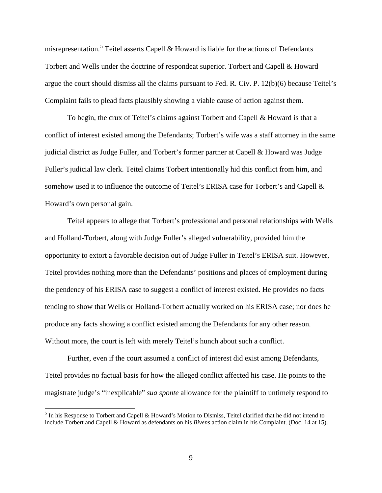misrepresentation.<sup>[5](#page-8-0)</sup> Teitel asserts Capell & Howard is liable for the actions of Defendants Torbert and Wells under the doctrine of respondeat superior. Torbert and Capell & Howard argue the court should dismiss all the claims pursuant to Fed. R. Civ. P. 12(b)(6) because Teitel's Complaint fails to plead facts plausibly showing a viable cause of action against them.

To begin, the crux of Teitel's claims against Torbert and Capell & Howard is that a conflict of interest existed among the Defendants; Torbert's wife was a staff attorney in the same judicial district as Judge Fuller, and Torbert's former partner at Capell & Howard was Judge Fuller's judicial law clerk. Teitel claims Torbert intentionally hid this conflict from him, and somehow used it to influence the outcome of Teitel's ERISA case for Torbert's and Capell & Howard's own personal gain.

Teitel appears to allege that Torbert's professional and personal relationships with Wells and Holland-Torbert, along with Judge Fuller's alleged vulnerability, provided him the opportunity to extort a favorable decision out of Judge Fuller in Teitel's ERISA suit. However, Teitel provides nothing more than the Defendants' positions and places of employment during the pendency of his ERISA case to suggest a conflict of interest existed. He provides no facts tending to show that Wells or Holland-Torbert actually worked on his ERISA case; nor does he produce any facts showing a conflict existed among the Defendants for any other reason. Without more, the court is left with merely Teitel's hunch about such a conflict.

Further, even if the court assumed a conflict of interest did exist among Defendants, Teitel provides no factual basis for how the alleged conflict affected his case. He points to the magistrate judge's "inexplicable" *sua sponte* allowance for the plaintiff to untimely respond to

 $\overline{a}$ 

<span id="page-8-0"></span><sup>&</sup>lt;sup>5</sup> In his Response to Torbert and Capell & Howard's Motion to Dismiss, Teitel clarified that he did not intend to include Torbert and Capell & Howard as defendants on his *Bivens* action claim in his Complaint. (Doc. 14 at 15).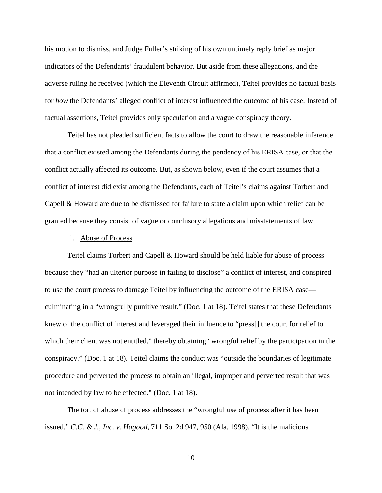his motion to dismiss, and Judge Fuller's striking of his own untimely reply brief as major indicators of the Defendants' fraudulent behavior. But aside from these allegations, and the adverse ruling he received (which the Eleventh Circuit affirmed), Teitel provides no factual basis for *how* the Defendants' alleged conflict of interest influenced the outcome of his case. Instead of factual assertions, Teitel provides only speculation and a vague conspiracy theory.

Teitel has not pleaded sufficient facts to allow the court to draw the reasonable inference that a conflict existed among the Defendants during the pendency of his ERISA case, or that the conflict actually affected its outcome. But, as shown below, even if the court assumes that a conflict of interest did exist among the Defendants, each of Teitel's claims against Torbert and Capell & Howard are due to be dismissed for failure to state a claim upon which relief can be granted because they consist of vague or conclusory allegations and misstatements of law.

#### 1. Abuse of Process

Teitel claims Torbert and Capell & Howard should be held liable for abuse of process because they "had an ulterior purpose in failing to disclose" a conflict of interest, and conspired to use the court process to damage Teitel by influencing the outcome of the ERISA case culminating in a "wrongfully punitive result." (Doc. 1 at 18). Teitel states that these Defendants knew of the conflict of interest and leveraged their influence to "press[] the court for relief to which their client was not entitled," thereby obtaining "wrongful relief by the participation in the conspiracy." (Doc. 1 at 18). Teitel claims the conduct was "outside the boundaries of legitimate procedure and perverted the process to obtain an illegal, improper and perverted result that was not intended by law to be effected." (Doc. 1 at 18).

The tort of abuse of process addresses the "wrongful use of process after it has been issued." *C.C. & J., Inc. v. Hagood*, 711 So. 2d 947, 950 (Ala. 1998). "It is the malicious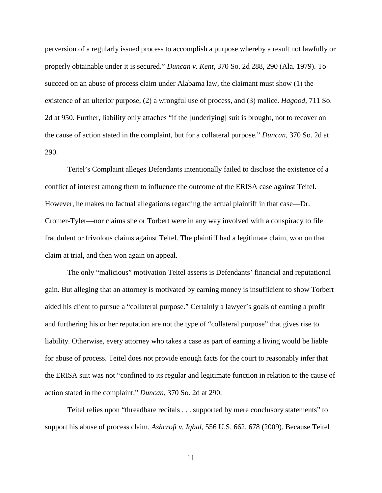perversion of a regularly issued process to accomplish a purpose whereby a result not lawfully or properly obtainable under it is secured." *Duncan v. Kent*, 370 So. 2d 288, 290 (Ala. 1979). To succeed on an abuse of process claim under Alabama law, the claimant must show (1) the existence of an ulterior purpose, (2) a wrongful use of process, and (3) malice. *Hagood*, 711 So. 2d at 950. Further, liability only attaches "if the [underlying] suit is brought, not to recover on the cause of action stated in the complaint, but for a collateral purpose." *Duncan*, 370 So. 2d at 290.

Teitel's Complaint alleges Defendants intentionally failed to disclose the existence of a conflict of interest among them to influence the outcome of the ERISA case against Teitel. However, he makes no factual allegations regarding the actual plaintiff in that case—Dr. Cromer-Tyler—nor claims she or Torbert were in any way involved with a conspiracy to file fraudulent or frivolous claims against Teitel. The plaintiff had a legitimate claim, won on that claim at trial, and then won again on appeal.

The only "malicious" motivation Teitel asserts is Defendants' financial and reputational gain. But alleging that an attorney is motivated by earning money is insufficient to show Torbert aided his client to pursue a "collateral purpose." Certainly a lawyer's goals of earning a profit and furthering his or her reputation are not the type of "collateral purpose" that gives rise to liability. Otherwise, every attorney who takes a case as part of earning a living would be liable for abuse of process. Teitel does not provide enough facts for the court to reasonably infer that the ERISA suit was not "confined to its regular and legitimate function in relation to the cause of action stated in the complaint." *Duncan*, 370 So. 2d at 290.

Teitel relies upon "threadbare recitals . . . supported by mere conclusory statements" to support his abuse of process claim. *Ashcroft v. Iqbal*, 556 U.S. 662, 678 (2009). Because Teitel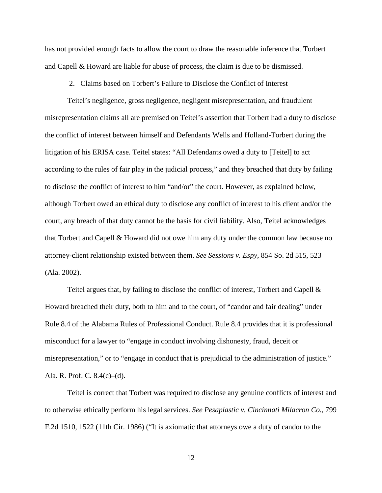has not provided enough facts to allow the court to draw the reasonable inference that Torbert and Capell & Howard are liable for abuse of process, the claim is due to be dismissed.

## 2. Claims based on Torbert's Failure to Disclose the Conflict of Interest

Teitel's negligence, gross negligence, negligent misrepresentation, and fraudulent misrepresentation claims all are premised on Teitel's assertion that Torbert had a duty to disclose the conflict of interest between himself and Defendants Wells and Holland-Torbert during the litigation of his ERISA case. Teitel states: "All Defendants owed a duty to [Teitel] to act according to the rules of fair play in the judicial process," and they breached that duty by failing to disclose the conflict of interest to him "and/or" the court. However, as explained below, although Torbert owed an ethical duty to disclose any conflict of interest to his client and/or the court, any breach of that duty cannot be the basis for civil liability. Also, Teitel acknowledges that Torbert and Capell & Howard did not owe him any duty under the common law because no attorney-client relationship existed between them. *See Sessions v. Espy*, 854 So. 2d 515, 523 (Ala. 2002).

Teitel argues that, by failing to disclose the conflict of interest, Torbert and Capell & Howard breached their duty, both to him and to the court, of "candor and fair dealing" under Rule 8.4 of the Alabama Rules of Professional Conduct. Rule 8.4 provides that it is professional misconduct for a lawyer to "engage in conduct involving dishonesty, fraud, deceit or misrepresentation," or to "engage in conduct that is prejudicial to the administration of justice." Ala. R. Prof. C. 8.4(c)–(d).

Teitel is correct that Torbert was required to disclose any genuine conflicts of interest and to otherwise ethically perform his legal services. *See Pesaplastic v. Cincinnati Milacron Co.*, 799 F.2d 1510, 1522 (11th Cir. 1986) ("It is axiomatic that attorneys owe a duty of candor to the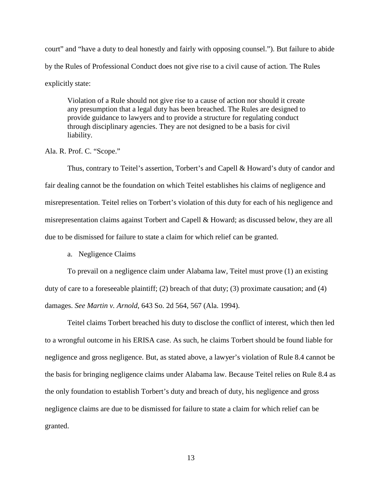court" and "have a duty to deal honestly and fairly with opposing counsel."). But failure to abide by the Rules of Professional Conduct does not give rise to a civil cause of action. The Rules explicitly state:

Violation of a Rule should not give rise to a cause of action nor should it create any presumption that a legal duty has been breached. The Rules are designed to provide guidance to lawyers and to provide a structure for regulating conduct through disciplinary agencies. They are not designed to be a basis for civil liability.

Ala. R. Prof. C. "Scope."

Thus, contrary to Teitel's assertion, Torbert's and Capell & Howard's duty of candor and fair dealing cannot be the foundation on which Teitel establishes his claims of negligence and misrepresentation. Teitel relies on Torbert's violation of this duty for each of his negligence and misrepresentation claims against Torbert and Capell & Howard; as discussed below, they are all due to be dismissed for failure to state a claim for which relief can be granted.

a. Negligence Claims

To prevail on a negligence claim under Alabama law, Teitel must prove (1) an existing duty of care to a foreseeable plaintiff; (2) breach of that duty; (3) proximate causation; and (4) damages. *See Martin v. Arnold*, 643 So. 2d 564, 567 (Ala. 1994).

Teitel claims Torbert breached his duty to disclose the conflict of interest, which then led to a wrongful outcome in his ERISA case. As such, he claims Torbert should be found liable for negligence and gross negligence. But, as stated above, a lawyer's violation of Rule 8.4 cannot be the basis for bringing negligence claims under Alabama law. Because Teitel relies on Rule 8.4 as the only foundation to establish Torbert's duty and breach of duty, his negligence and gross negligence claims are due to be dismissed for failure to state a claim for which relief can be granted.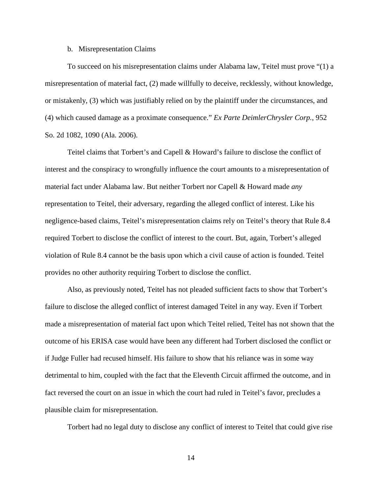#### b. Misrepresentation Claims

To succeed on his misrepresentation claims under Alabama law, Teitel must prove "(1) a misrepresentation of material fact, (2) made willfully to deceive, recklessly, without knowledge, or mistakenly, (3) which was justifiably relied on by the plaintiff under the circumstances, and (4) which caused damage as a proximate consequence." *Ex Parte DeimlerChrysler Corp.*, 952 So. 2d 1082, 1090 (Ala. 2006).

Teitel claims that Torbert's and Capell & Howard's failure to disclose the conflict of interest and the conspiracy to wrongfully influence the court amounts to a misrepresentation of material fact under Alabama law. But neither Torbert nor Capell & Howard made *any* representation to Teitel, their adversary, regarding the alleged conflict of interest. Like his negligence-based claims, Teitel's misrepresentation claims rely on Teitel's theory that Rule 8.4 required Torbert to disclose the conflict of interest to the court. But, again, Torbert's alleged violation of Rule 8.4 cannot be the basis upon which a civil cause of action is founded. Teitel provides no other authority requiring Torbert to disclose the conflict.

Also, as previously noted, Teitel has not pleaded sufficient facts to show that Torbert's failure to disclose the alleged conflict of interest damaged Teitel in any way. Even if Torbert made a misrepresentation of material fact upon which Teitel relied, Teitel has not shown that the outcome of his ERISA case would have been any different had Torbert disclosed the conflict or if Judge Fuller had recused himself. His failure to show that his reliance was in some way detrimental to him, coupled with the fact that the Eleventh Circuit affirmed the outcome, and in fact reversed the court on an issue in which the court had ruled in Teitel's favor, precludes a plausible claim for misrepresentation.

Torbert had no legal duty to disclose any conflict of interest to Teitel that could give rise